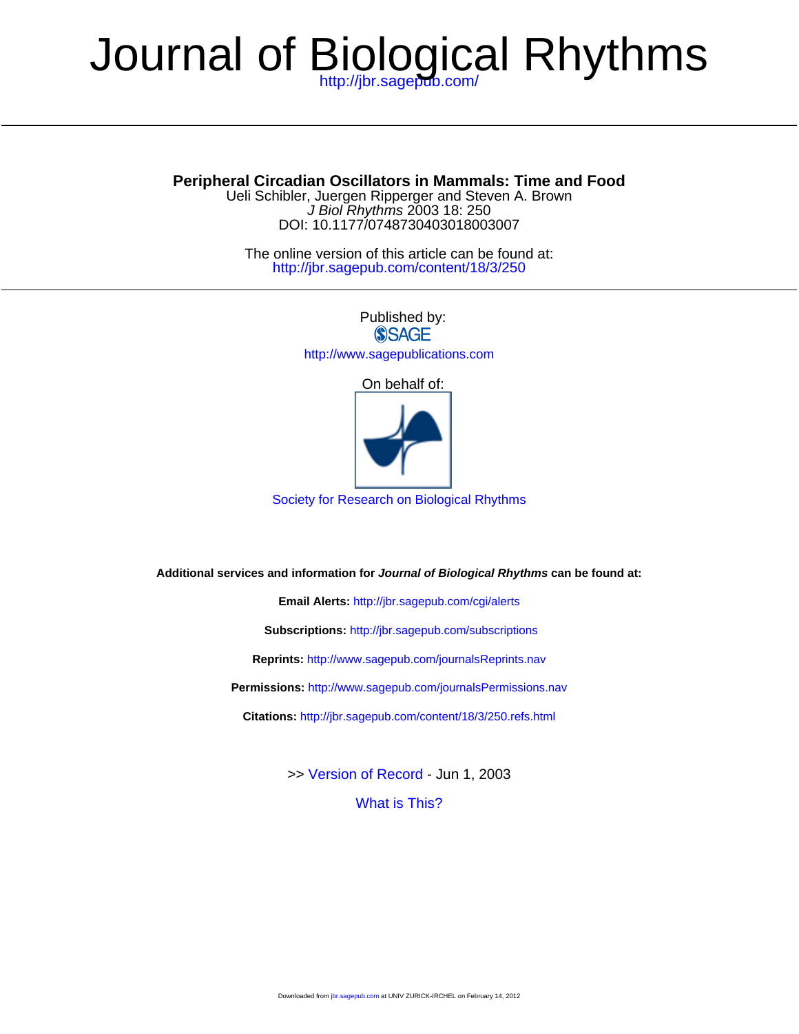# Journal of Biological Rhythms

DOI: 10.1177/0748730403018003007 J Biol Rhythms 2003 18: 250 Ueli Schibler, Juergen Ripperger and Steven A. Brown **Peripheral Circadian Oscillators in Mammals: Time and Food**

> <http://jbr.sagepub.com/content/18/3/250> The online version of this article can be found at:

> > Published by: **SSAGF** <http://www.sagepublications.com> On behalf of:



[Society for Research on Biological Rhythms](http://www.srbr.org)

**Additional services and information for Journal of Biological Rhythms can be found at:**

**Email Alerts:** <http://jbr.sagepub.com/cgi/alerts>

**Subscriptions:** <http://jbr.sagepub.com/subscriptions>

**Reprints:** <http://www.sagepub.com/journalsReprints.nav>

**Permissions:** <http://www.sagepub.com/journalsPermissions.nav>

**Citations:** <http://jbr.sagepub.com/content/18/3/250.refs.html>

>> [Version of Record -](http://jbr.sagepub.com/content/18/3/250.full.pdf) Jun 1, 2003

[What is This?](http://online.sagepub.com/site/sphelp/vorhelp.xhtml)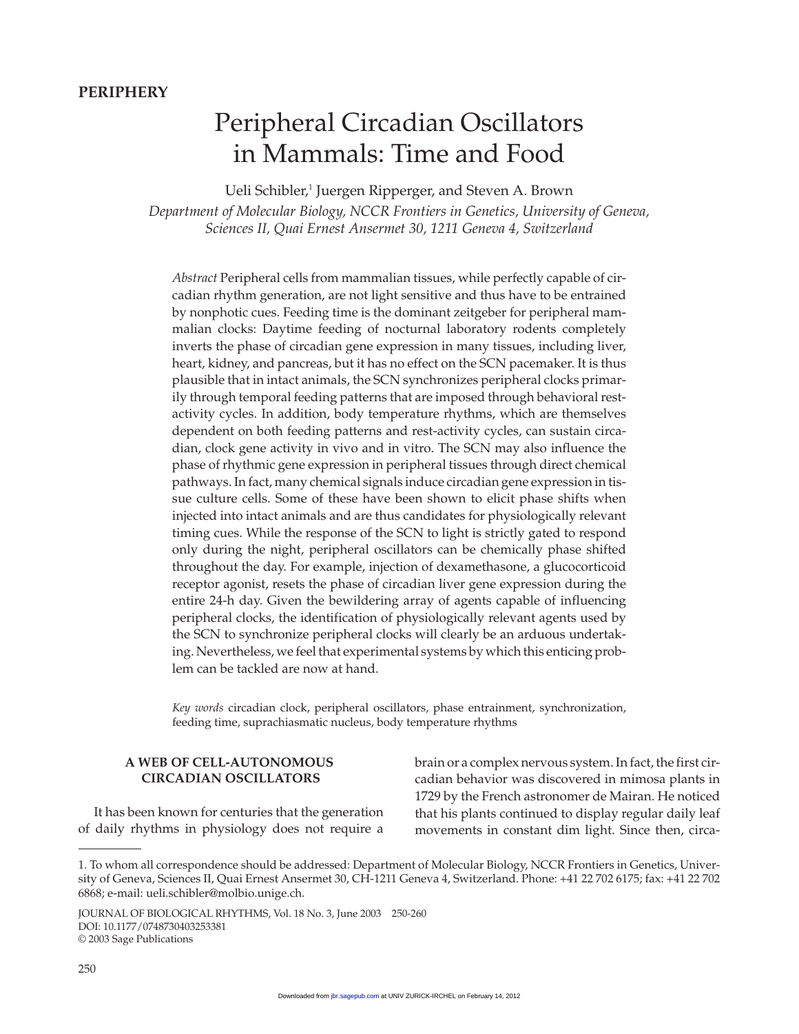# Peripheral Circadian Oscillators in Mammals: Time and Food

Ueli Schibler,<sup>1</sup> Juergen Ripperger, and Steven A. Brown *Department of Molecular Biology, NCCR Frontiers in Genetics, University of Geneva, Sciences II, Quai Ernest Ansermet 30, 1211 Geneva 4, Switzerland*

*Abstract* Peripheral cells from mammalian tissues, while perfectly capable of circadian rhythm generation, are not light sensitive and thus have to be entrained by nonphotic cues. Feeding time is the dominant zeitgeber for peripheral mammalian clocks: Daytime feeding of nocturnal laboratory rodents completely inverts the phase of circadian gene expression in many tissues, including liver, heart, kidney, and pancreas, but it has no effect on the SCN pacemaker. It is thus plausible that in intact animals, the SCN synchronizes peripheral clocks primarily through temporal feeding patterns that are imposed through behavioral restactivity cycles. In addition, body temperature rhythms, which are themselves dependent on both feeding patterns and rest-activity cycles, can sustain circadian, clock gene activity in vivo and in vitro. The SCN may also influence the phase of rhythmic gene expression in peripheral tissues through direct chemical pathways. In fact, many chemical signals induce circadian gene expression in tissue culture cells. Some of these have been shown to elicit phase shifts when injected into intact animals and are thus candidates for physiologically relevant timing cues. While the response of the SCN to light is strictly gated to respond only during the night, peripheral oscillators can be chemically phase shifted throughout the day. For example, injection of dexamethasone, a glucocorticoid receptor agonist, resets the phase of circadian liver gene expression during the entire 24-h day. Given the bewildering array of agents capable of influencing peripheral clocks, the identification of physiologically relevant agents used by the SCN to synchronize peripheral clocks will clearly be an arduous undertaking. Nevertheless, we feel that experimental systems by which this enticing problem can be tackled are now at hand.

*Key words* circadian clock, peripheral oscillators, phase entrainment, synchronization, feeding time, suprachiasmatic nucleus, body temperature rhythms

# **A WEB OF CELL-AUTONOMOUS CIRCADIAN OSCILLATORS**

It has been known for centuries that the generation of daily rhythms in physiology does not require a

brain or a complex nervous system. In fact, the first circadian behavior was discovered in mimosa plants in 1729 by the French astronomer de Mairan. He noticed that his plants continued to display regular daily leaf movements in constant dim light. Since then, circa-

<sup>1.</sup> To whom all correspondence should be addressed: Department of Molecular Biology, NCCR Frontiers in Genetics, University of Geneva, Sciences II, Quai Ernest Ansermet 30, CH-1211 Geneva 4, Switzerland. Phone: +41 22 702 6175; fax: +41 22 702 6868; e-mail: ueli.schibler@molbio.unige.ch.

JOURNAL OF BIOLOGICAL RHYTHMS, Vol. 18 No. 3, June 2003 250-260 DOI: 10.1177/0748730403253381 © 2003 Sage Publications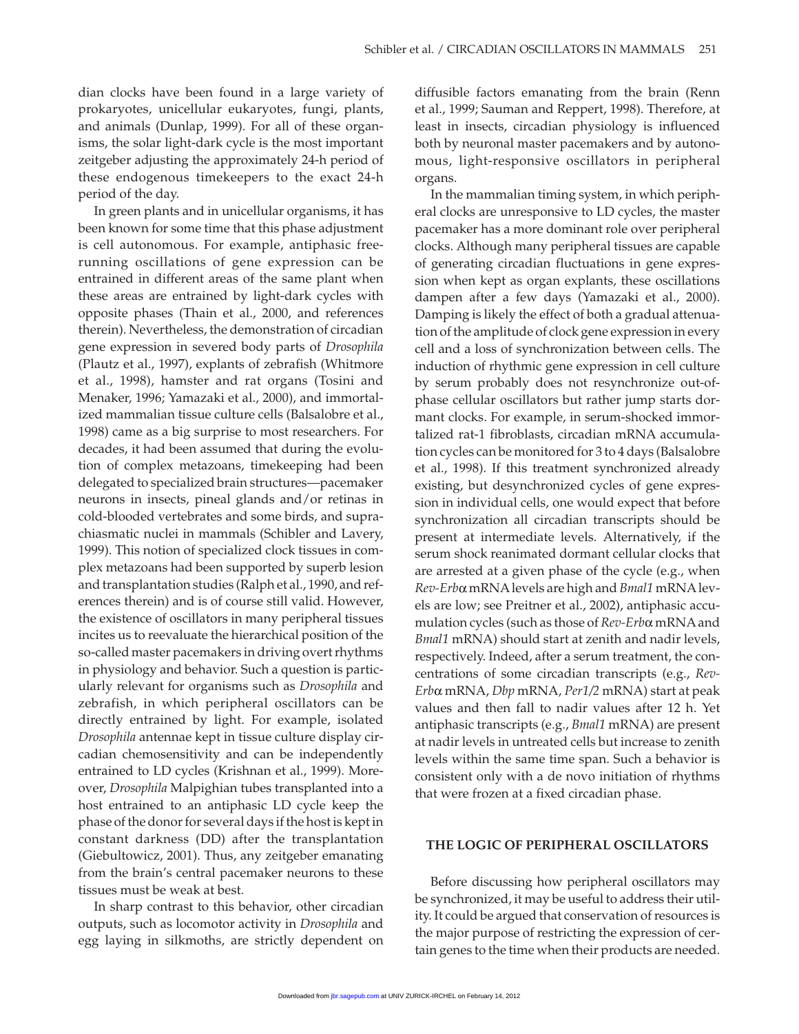dian clocks have been found in a large variety of prokaryotes, unicellular eukaryotes, fungi, plants, and animals (Dunlap, 1999). For all of these organisms, the solar light-dark cycle is the most important zeitgeber adjusting the approximately 24-h period of these endogenous timekeepers to the exact 24-h period of the day.

In green plants and in unicellular organisms, it has been known for some time that this phase adjustment is cell autonomous. For example, antiphasic freerunning oscillations of gene expression can be entrained in different areas of the same plant when these areas are entrained by light-dark cycles with opposite phases (Thain et al., 2000, and references therein). Nevertheless, the demonstration of circadian gene expression in severed body parts of *Drosophila* (Plautz et al., 1997), explants of zebrafish (Whitmore et al., 1998), hamster and rat organs (Tosini and Menaker, 1996; Yamazaki et al., 2000), and immortalized mammalian tissue culture cells (Balsalobre et al., 1998) came as a big surprise to most researchers. For decades, it had been assumed that during the evolution of complex metazoans, timekeeping had been delegated to specialized brain structures—pacemaker neurons in insects, pineal glands and/or retinas in cold-blooded vertebrates and some birds, and suprachiasmatic nuclei in mammals (Schibler and Lavery, 1999). This notion of specialized clock tissues in complex metazoans had been supported by superb lesion and transplantation studies (Ralph et al., 1990, and references therein) and is of course still valid. However, the existence of oscillators in many peripheral tissues incites us to reevaluate the hierarchical position of the so-called master pacemakers in driving overt rhythms in physiology and behavior. Such a question is particularly relevant for organisms such as *Drosophila* and zebrafish, in which peripheral oscillators can be directly entrained by light. For example, isolated *Drosophila* antennae kept in tissue culture display circadian chemosensitivity and can be independently entrained to LD cycles (Krishnan et al., 1999). Moreover, *Drosophila* Malpighian tubes transplanted into a host entrained to an antiphasic LD cycle keep the phase of the donor for several days if the host is kept in constant darkness (DD) after the transplantation (Giebultowicz, 2001). Thus, any zeitgeber emanating from the brain's central pacemaker neurons to these tissues must be weak at best.

In sharp contrast to this behavior, other circadian outputs, such as locomotor activity in *Drosophila* and egg laying in silkmoths, are strictly dependent on diffusible factors emanating from the brain (Renn et al., 1999; Sauman and Reppert, 1998). Therefore, at least in insects, circadian physiology is influenced both by neuronal master pacemakers and by autonomous, light-responsive oscillators in peripheral organs.

In the mammalian timing system, in which peripheral clocks are unresponsive to LD cycles, the master pacemaker has a more dominant role over peripheral clocks. Although many peripheral tissues are capable of generating circadian fluctuations in gene expression when kept as organ explants, these oscillations dampen after a few days (Yamazaki et al., 2000). Damping is likely the effect of both a gradual attenuation of the amplitude of clock gene expression in every cell and a loss of synchronization between cells. The induction of rhythmic gene expression in cell culture by serum probably does not resynchronize out-ofphase cellular oscillators but rather jump starts dormant clocks. For example, in serum-shocked immortalized rat-1 fibroblasts, circadian mRNA accumulation cycles can be monitored for 3 to 4 days (Balsalobre et al., 1998). If this treatment synchronized already existing, but desynchronized cycles of gene expression in individual cells, one would expect that before synchronization all circadian transcripts should be present at intermediate levels. Alternatively, if the serum shock reanimated dormant cellular clocks that are arrested at a given phase of the cycle (e.g., when *Rev-Erb* mRNAlevels are high and *Bmal1* mRNAlevels are low; see Preitner et al., 2002), antiphasic accumulation cycles (such as those of *Rev-Erb*  $\alpha$  mRNA and *Bmal1* mRNA) should start at zenith and nadir levels, respectively. Indeed, after a serum treatment, the concentrations of some circadian transcripts (e.g., *Rev-Erb* mRNA, *Dbp* mRNA, *Per1/2* mRNA) start at peak values and then fall to nadir values after 12 h. Yet antiphasic transcripts (e.g., *Bmal1* mRNA) are present at nadir levels in untreated cells but increase to zenith levels within the same time span. Such a behavior is consistent only with a de novo initiation of rhythms that were frozen at a fixed circadian phase.

#### **THE LOGIC OF PERIPHERAL OSCILLATORS**

Before discussing how peripheral oscillators may be synchronized, it may be useful to address their utility. It could be argued that conservation of resources is the major purpose of restricting the expression of certain genes to the time when their products are needed.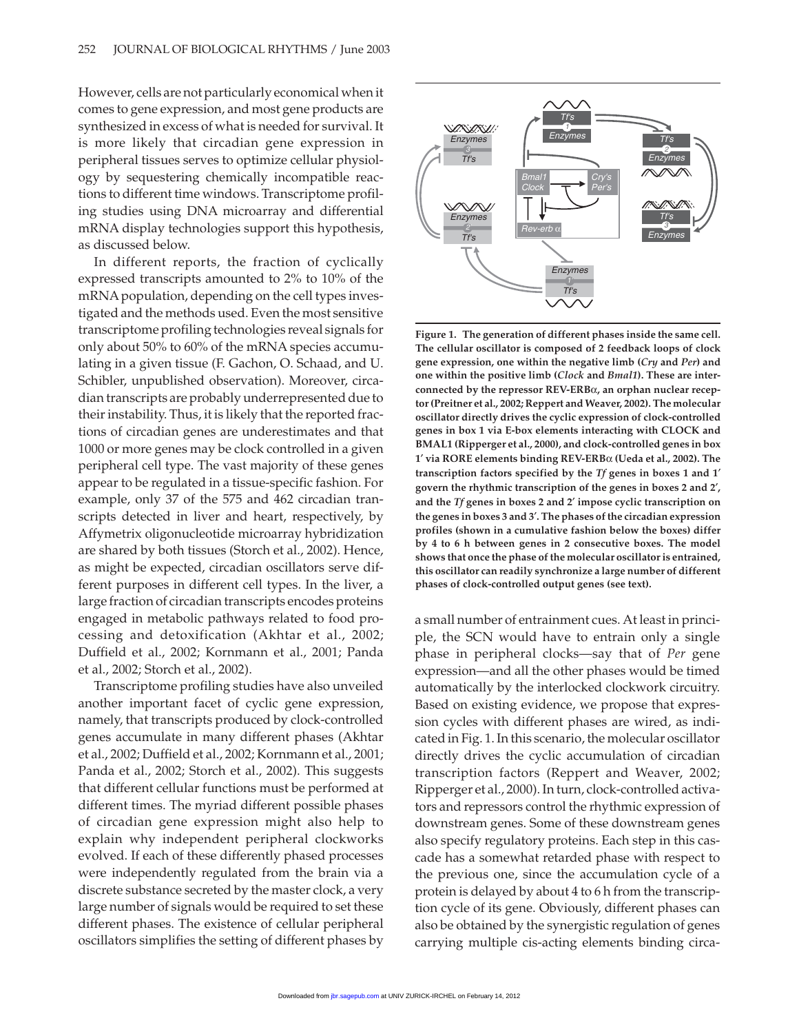However, cells are not particularly economical when it comes to gene expression, and most gene products are synthesized in excess of what is needed for survival. It is more likely that circadian gene expression in peripheral tissues serves to optimize cellular physiology by sequestering chemically incompatible reactions to different time windows. Transcriptome profiling studies using DNA microarray and differential mRNA display technologies support this hypothesis, as discussed below.

In different reports, the fraction of cyclically expressed transcripts amounted to 2% to 10% of the mRNA population, depending on the cell types investigated and the methods used. Even the most sensitive transcriptome profiling technologies reveal signals for only about 50% to 60% of the mRNA species accumulating in a given tissue (F. Gachon, O. Schaad, and U. Schibler, unpublished observation). Moreover, circadian transcripts are probably underrepresented due to their instability. Thus, it is likely that the reported fractions of circadian genes are underestimates and that 1000 or more genes may be clock controlled in a given peripheral cell type. The vast majority of these genes appear to be regulated in a tissue-specific fashion. For example, only 37 of the 575 and 462 circadian transcripts detected in liver and heart, respectively, by Affymetrix oligonucleotide microarray hybridization are shared by both tissues (Storch et al., 2002). Hence, as might be expected, circadian oscillators serve different purposes in different cell types. In the liver, a large fraction of circadian transcripts encodes proteins engaged in metabolic pathways related to food processing and detoxification (Akhtar et al., 2002; Duffield et al., 2002; Kornmann et al., 2001; Panda et al., 2002; Storch et al., 2002).

Transcriptome profiling studies have also unveiled another important facet of cyclic gene expression, namely, that transcripts produced by clock-controlled genes accumulate in many different phases (Akhtar et al., 2002; Duffield et al., 2002; Kornmann et al., 2001; Panda et al., 2002; Storch et al., 2002). This suggests that different cellular functions must be performed at different times. The myriad different possible phases of circadian gene expression might also help to explain why independent peripheral clockworks evolved. If each of these differently phased processes were independently regulated from the brain via a discrete substance secreted by the master clock, a very large number of signals would be required to set these different phases. The existence of cellular peripheral oscillators simplifies the setting of different phases by



**Figure 1. The generation of different phases inside the same cell. The cellular oscillator is composed of 2 feedback loops of clock gene expression, one within the negative limb (***Cry* **and** *Per***) and one within the positive limb (***Clock* **and** *Bmal1***). These are interconnected by the repressor REV-ERB**α**, an orphan nuclear receptor (Preitner et al., 2002; Reppert and Weaver, 2002). The molecular oscillator directly drives the cyclic expression of clock-controlled genes in box 1 via E-box elements interacting with CLOCK and BMAL1 (Ripperger et al., 2000), and clock-controlled genes in box 1**′ **via RORE elements binding REV-ERB**α **(Ueda et al., 2002). The transcription factors specified by the** *Tf* **genes in boxes 1 and 1**′ **govern the rhythmic transcription of the genes in boxes 2 and 2**′**, and the** *Tf* **genes in boxes 2 and 2**′ **impose cyclic transcription on the genes in boxes 3 and 3**′**. The phases of the circadian expression profiles (shown in a cumulative fashion below the boxes) differ by 4 to 6 h between genes in 2 consecutive boxes. The model shows that once the phase of the molecular oscillator is entrained, this oscillator can readily synchronize a large number of different phases of clock-controlled output genes (see text).**

a small number of entrainment cues. At least in principle, the SCN would have to entrain only a single phase in peripheral clocks—say that of *Per* gene expression—and all the other phases would be timed automatically by the interlocked clockwork circuitry. Based on existing evidence, we propose that expression cycles with different phases are wired, as indicated in Fig. 1. In this scenario, the molecular oscillator directly drives the cyclic accumulation of circadian transcription factors (Reppert and Weaver, 2002; Ripperger et al., 2000). In turn, clock-controlled activators and repressors control the rhythmic expression of downstream genes. Some of these downstream genes also specify regulatory proteins. Each step in this cascade has a somewhat retarded phase with respect to the previous one, since the accumulation cycle of a protein is delayed by about 4 to 6 h from the transcription cycle of its gene. Obviously, different phases can also be obtained by the synergistic regulation of genes carrying multiple cis-acting elements binding circa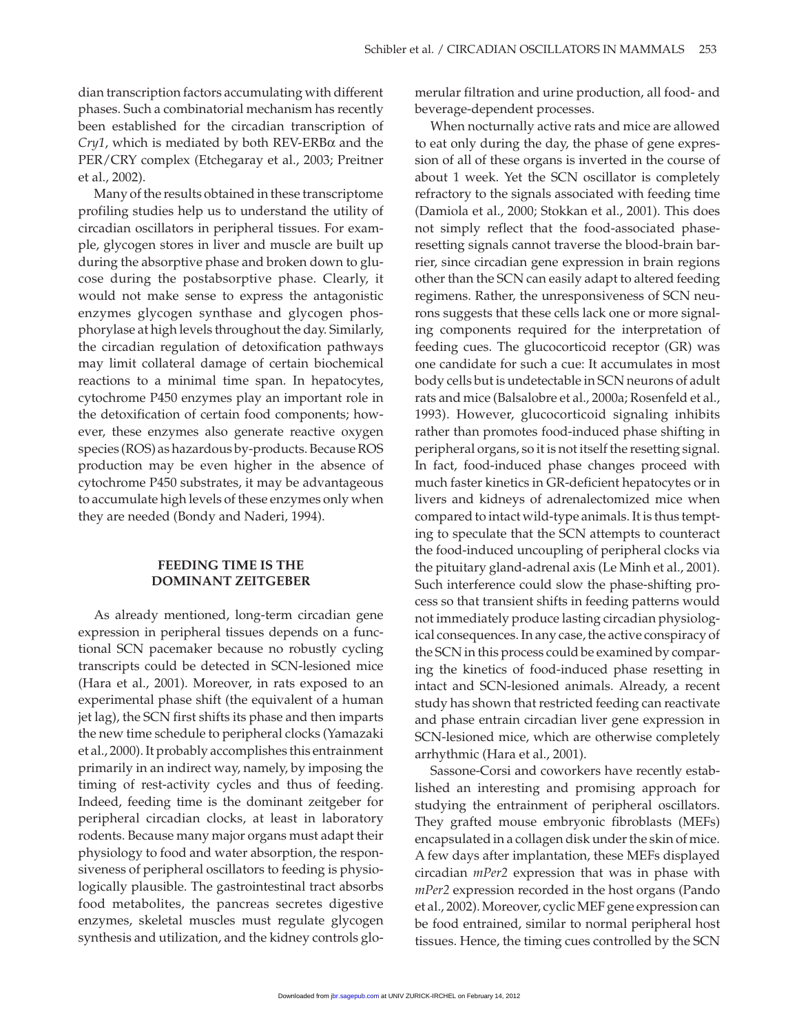dian transcription factors accumulating with different phases. Such a combinatorial mechanism has recently been established for the circadian transcription of *Cry1*, which is mediated by both REV-ERBα and the PER/CRY complex (Etchegaray et al., 2003; Preitner et al., 2002).

Many of the results obtained in these transcriptome profiling studies help us to understand the utility of circadian oscillators in peripheral tissues. For example, glycogen stores in liver and muscle are built up during the absorptive phase and broken down to glucose during the postabsorptive phase. Clearly, it would not make sense to express the antagonistic enzymes glycogen synthase and glycogen phosphorylase at high levels throughout the day. Similarly, the circadian regulation of detoxification pathways may limit collateral damage of certain biochemical reactions to a minimal time span. In hepatocytes, cytochrome P450 enzymes play an important role in the detoxification of certain food components; however, these enzymes also generate reactive oxygen species (ROS) as hazardous by-products. Because ROS production may be even higher in the absence of cytochrome P450 substrates, it may be advantageous to accumulate high levels of these enzymes only when they are needed (Bondy and Naderi, 1994).

# **FEEDING TIME IS THE DOMINANT ZEITGEBER**

As already mentioned, long-term circadian gene expression in peripheral tissues depends on a functional SCN pacemaker because no robustly cycling transcripts could be detected in SCN-lesioned mice (Hara et al., 2001). Moreover, in rats exposed to an experimental phase shift (the equivalent of a human jet lag), the SCN first shifts its phase and then imparts the new time schedule to peripheral clocks (Yamazaki et al., 2000). It probably accomplishes this entrainment primarily in an indirect way, namely, by imposing the timing of rest-activity cycles and thus of feeding. Indeed, feeding time is the dominant zeitgeber for peripheral circadian clocks, at least in laboratory rodents. Because many major organs must adapt their physiology to food and water absorption, the responsiveness of peripheral oscillators to feeding is physiologically plausible. The gastrointestinal tract absorbs food metabolites, the pancreas secretes digestive enzymes, skeletal muscles must regulate glycogen synthesis and utilization, and the kidney controls glomerular filtration and urine production, all food- and beverage-dependent processes.

When nocturnally active rats and mice are allowed to eat only during the day, the phase of gene expression of all of these organs is inverted in the course of about 1 week. Yet the SCN oscillator is completely refractory to the signals associated with feeding time (Damiola et al., 2000; Stokkan et al., 2001). This does not simply reflect that the food-associated phaseresetting signals cannot traverse the blood-brain barrier, since circadian gene expression in brain regions other than the SCN can easily adapt to altered feeding regimens. Rather, the unresponsiveness of SCN neurons suggests that these cells lack one or more signaling components required for the interpretation of feeding cues. The glucocorticoid receptor (GR) was one candidate for such a cue: It accumulates in most body cells but is undetectable in SCN neurons of adult rats and mice (Balsalobre et al., 2000a; Rosenfeld et al., 1993). However, glucocorticoid signaling inhibits rather than promotes food-induced phase shifting in peripheral organs, so it is not itself the resetting signal. In fact, food-induced phase changes proceed with much faster kinetics in GR-deficient hepatocytes or in livers and kidneys of adrenalectomized mice when compared to intact wild-type animals. It is thus tempting to speculate that the SCN attempts to counteract the food-induced uncoupling of peripheral clocks via the pituitary gland-adrenal axis (Le Minh et al., 2001). Such interference could slow the phase-shifting process so that transient shifts in feeding patterns would not immediately produce lasting circadian physiological consequences. In any case, the active conspiracy of the SCN in this process could be examined by comparing the kinetics of food-induced phase resetting in intact and SCN-lesioned animals. Already, a recent study has shown that restricted feeding can reactivate and phase entrain circadian liver gene expression in SCN-lesioned mice, which are otherwise completely arrhythmic (Hara et al., 2001).

Sassone-Corsi and coworkers have recently established an interesting and promising approach for studying the entrainment of peripheral oscillators. They grafted mouse embryonic fibroblasts (MEFs) encapsulated in a collagen disk under the skin of mice. A few days after implantation, these MEFs displayed circadian *mPer2* expression that was in phase with *mPer2* expression recorded in the host organs (Pando et al., 2002). Moreover, cyclic MEF gene expression can be food entrained, similar to normal peripheral host tissues. Hence, the timing cues controlled by the SCN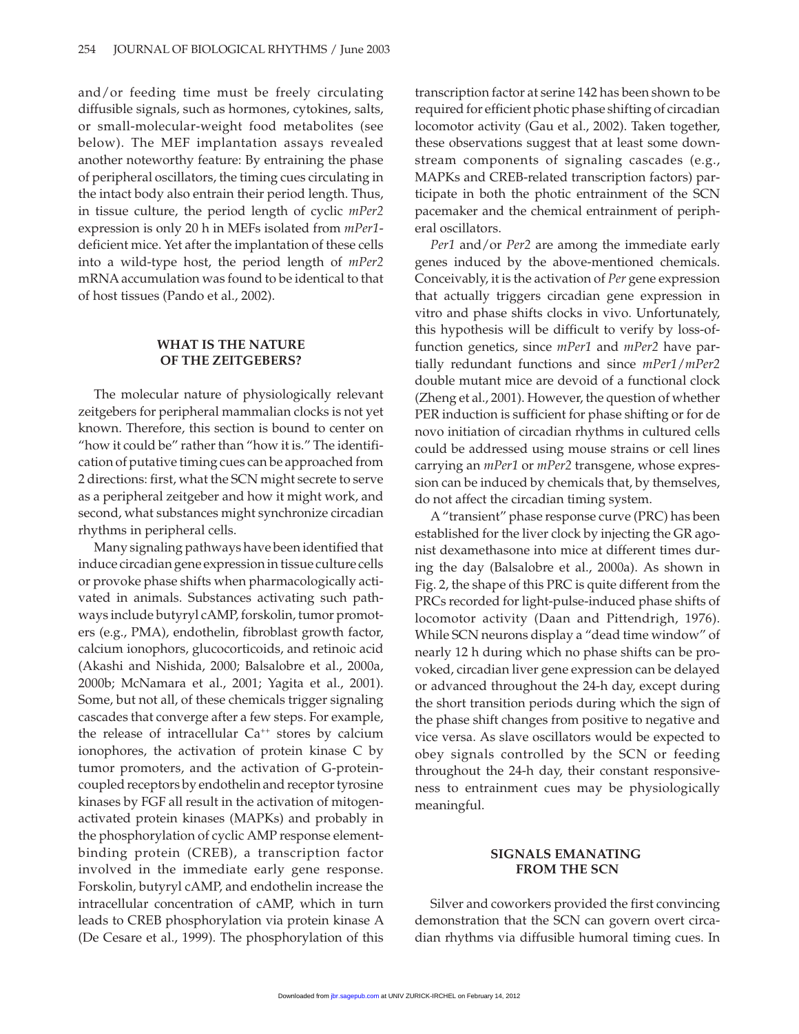and/or feeding time must be freely circulating diffusible signals, such as hormones, cytokines, salts, or small-molecular-weight food metabolites (see below). The MEF implantation assays revealed another noteworthy feature: By entraining the phase of peripheral oscillators, the timing cues circulating in the intact body also entrain their period length. Thus, in tissue culture, the period length of cyclic *mPer2* expression is only 20 h in MEFs isolated from *mPer1* deficient mice. Yet after the implantation of these cells into a wild-type host, the period length of *mPer2* mRNA accumulation was found to be identical to that of host tissues (Pando et al., 2002).

#### **WHAT IS THE NATURE OF THE ZEITGEBERS?**

The molecular nature of physiologically relevant zeitgebers for peripheral mammalian clocks is not yet known. Therefore, this section is bound to center on "how it could be" rather than "how it is." The identification of putative timing cues can be approached from 2 directions: first, what the SCN might secrete to serve as a peripheral zeitgeber and how it might work, and second, what substances might synchronize circadian rhythms in peripheral cells.

Many signaling pathways have been identified that induce circadian gene expression in tissue culture cells or provoke phase shifts when pharmacologically activated in animals. Substances activating such pathways include butyryl cAMP, forskolin, tumor promoters (e.g., PMA), endothelin, fibroblast growth factor, calcium ionophors, glucocorticoids, and retinoic acid (Akashi and Nishida, 2000; Balsalobre et al., 2000a, 2000b; McNamara et al., 2001; Yagita et al., 2001). Some, but not all, of these chemicals trigger signaling cascades that converge after a few steps. For example, the release of intracellular  $Ca^{++}$  stores by calcium ionophores, the activation of protein kinase C by tumor promoters, and the activation of G-proteincoupled receptors by endothelin and receptor tyrosine kinases by FGF all result in the activation of mitogenactivated protein kinases (MAPKs) and probably in the phosphorylation of cyclic AMP response elementbinding protein (CREB), a transcription factor involved in the immediate early gene response. Forskolin, butyryl cAMP, and endothelin increase the intracellular concentration of cAMP, which in turn leads to CREB phosphorylation via protein kinase A (De Cesare et al., 1999). The phosphorylation of this

transcription factor at serine 142 has been shown to be required for efficient photic phase shifting of circadian locomotor activity (Gau et al., 2002). Taken together, these observations suggest that at least some downstream components of signaling cascades (e.g., MAPKs and CREB-related transcription factors) participate in both the photic entrainment of the SCN pacemaker and the chemical entrainment of peripheral oscillators.

*Per1* and/or *Per2* are among the immediate early genes induced by the above-mentioned chemicals. Conceivably, it is the activation of *Per* gene expression that actually triggers circadian gene expression in vitro and phase shifts clocks in vivo. Unfortunately, this hypothesis will be difficult to verify by loss-offunction genetics, since *mPer1* and *mPer2* have partially redundant functions and since *mPer1*/*mPer2* double mutant mice are devoid of a functional clock (Zheng et al., 2001). However, the question of whether PER induction is sufficient for phase shifting or for de novo initiation of circadian rhythms in cultured cells could be addressed using mouse strains or cell lines carrying an *mPer1* or *mPer2* transgene, whose expression can be induced by chemicals that, by themselves, do not affect the circadian timing system.

A "transient" phase response curve (PRC) has been established for the liver clock by injecting the GR agonist dexamethasone into mice at different times during the day (Balsalobre et al., 2000a). As shown in Fig. 2, the shape of this PRC is quite different from the PRCs recorded for light-pulse-induced phase shifts of locomotor activity (Daan and Pittendrigh, 1976). While SCN neurons display a "dead time window" of nearly 12 h during which no phase shifts can be provoked, circadian liver gene expression can be delayed or advanced throughout the 24-h day, except during the short transition periods during which the sign of the phase shift changes from positive to negative and vice versa. As slave oscillators would be expected to obey signals controlled by the SCN or feeding throughout the 24-h day, their constant responsiveness to entrainment cues may be physiologically meaningful.

#### **SIGNALS EMANATING FROM THE SCN**

Silver and coworkers provided the first convincing demonstration that the SCN can govern overt circadian rhythms via diffusible humoral timing cues. In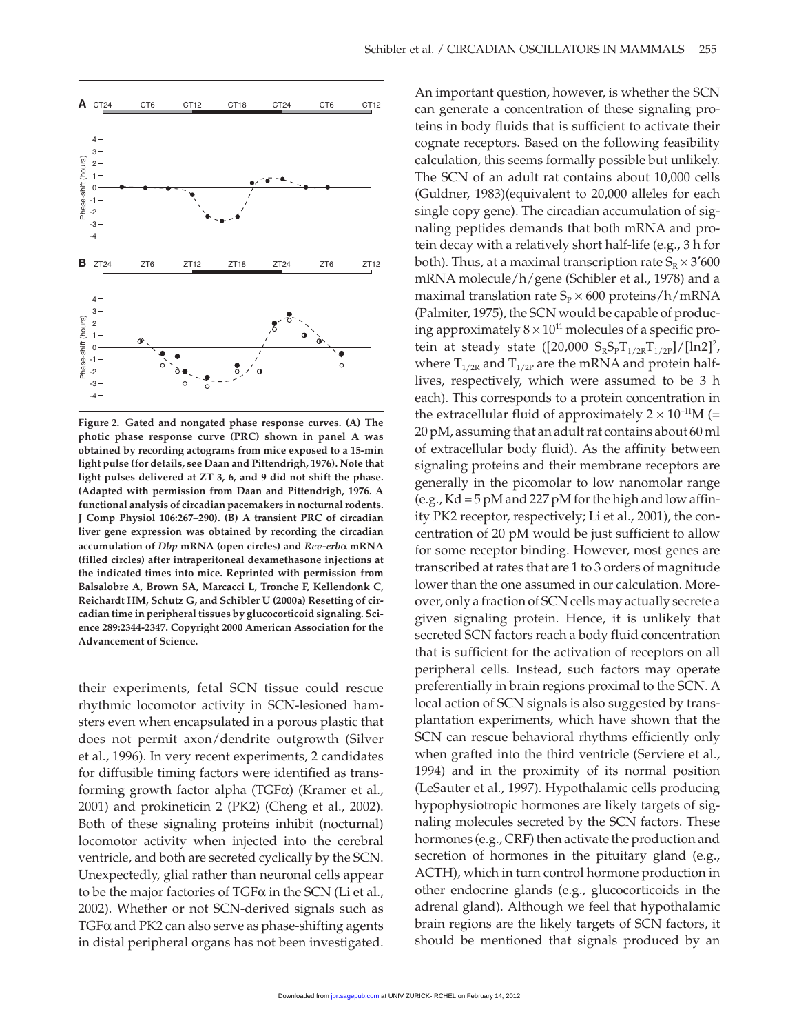

**Figure 2. Gated and nongated phase response curves. (A) The photic phase response curve (PRC) shown in panel A was obtained by recording actograms from mice exposed to a 15-min light pulse (for details, see Daan and Pittendrigh, 1976). Note that light pulses delivered at ZT 3, 6, and 9 did not shift the phase. (Adapted with permission from Daan and Pittendrigh, 1976. A functional analysis of circadian pacemakers in nocturnal rodents. J Comp Physiol 106:267–290). (B) A transient PRC of circadian liver gene expression was obtained by recording the circadian accumulation of** *Dbp* **mRNA (open circles) and** *Rev-erb* **mRNA (filled circles) after intraperitoneal dexamethasone injections at the indicated times into mice. Reprinted with permission from Balsalobre A, Brown SA, Marcacci L, Tronche F, Kellendonk C, Reichardt HM, Schutz G, and Schibler U (2000a) Resetting of circadian time in peripheral tissues by glucocorticoid signaling. Science 289:2344-2347. Copyright 2000 American Association for the Advancement of Science.**

their experiments, fetal SCN tissue could rescue rhythmic locomotor activity in SCN-lesioned hamsters even when encapsulated in a porous plastic that does not permit axon/dendrite outgrowth (Silver et al., 1996). In very recent experiments, 2 candidates for diffusible timing factors were identified as transforming growth factor alpha (TGFα) (Kramer et al., 2001) and prokineticin 2 (PK2) (Cheng et al., 2002). Both of these signaling proteins inhibit (nocturnal) locomotor activity when injected into the cerebral ventricle, and both are secreted cyclically by the SCN. Unexpectedly, glial rather than neuronal cells appear to be the major factories of  $TGF\alpha$  in the SCN (Li et al., 2002). Whether or not SCN-derived signals such as TGFα and PK2 can also serve as phase-shifting agents in distal peripheral organs has not been investigated.

An important question, however, is whether the SCN can generate a concentration of these signaling proteins in body fluids that is sufficient to activate their cognate receptors. Based on the following feasibility calculation, this seems formally possible but unlikely. The SCN of an adult rat contains about 10,000 cells (Guldner, 1983)(equivalent to 20,000 alleles for each single copy gene). The circadian accumulation of signaling peptides demands that both mRNA and protein decay with a relatively short half-life (e.g., 3 h for both). Thus, at a maximal transcription rate  $S_R \times 3'600$ mRNA molecule/h/gene (Schibler et al., 1978) and a maximal translation rate  $S_P \times 600$  proteins/h/mRNA (Palmiter, 1975), the SCN would be capable of producing approximately  $8 \times 10^{11}$  molecules of a specific protein at steady state ([20,000  $\rm S_R S_P T_{1/2R} T_{1/2P}]/[ln2]^2$ , where  $T_{1/2R}$  and  $T_{1/2P}$  are the mRNA and protein halflives, respectively, which were assumed to be 3 h each). This corresponds to a protein concentration in the extracellular fluid of approximately  $2 \times 10^{-11}$ M (= 20 pM, assuming that an adult rat contains about 60 ml of extracellular body fluid). As the affinity between signaling proteins and their membrane receptors are generally in the picomolar to low nanomolar range (e.g.,  $Kd = 5$  pM and 227 pM for the high and low affinity PK2 receptor, respectively; Li et al., 2001), the concentration of 20 pM would be just sufficient to allow for some receptor binding. However, most genes are transcribed at rates that are 1 to 3 orders of magnitude lower than the one assumed in our calculation. Moreover, only a fraction of SCN cells may actually secrete a given signaling protein. Hence, it is unlikely that secreted SCN factors reach a body fluid concentration that is sufficient for the activation of receptors on all peripheral cells. Instead, such factors may operate preferentially in brain regions proximal to the SCN. A local action of SCN signals is also suggested by transplantation experiments, which have shown that the SCN can rescue behavioral rhythms efficiently only when grafted into the third ventricle (Serviere et al., 1994) and in the proximity of its normal position (LeSauter et al., 1997). Hypothalamic cells producing hypophysiotropic hormones are likely targets of signaling molecules secreted by the SCN factors. These hormones (e.g., CRF) then activate the production and secretion of hormones in the pituitary gland (e.g., ACTH), which in turn control hormone production in other endocrine glands (e.g., glucocorticoids in the adrenal gland). Although we feel that hypothalamic brain regions are the likely targets of SCN factors, it should be mentioned that signals produced by an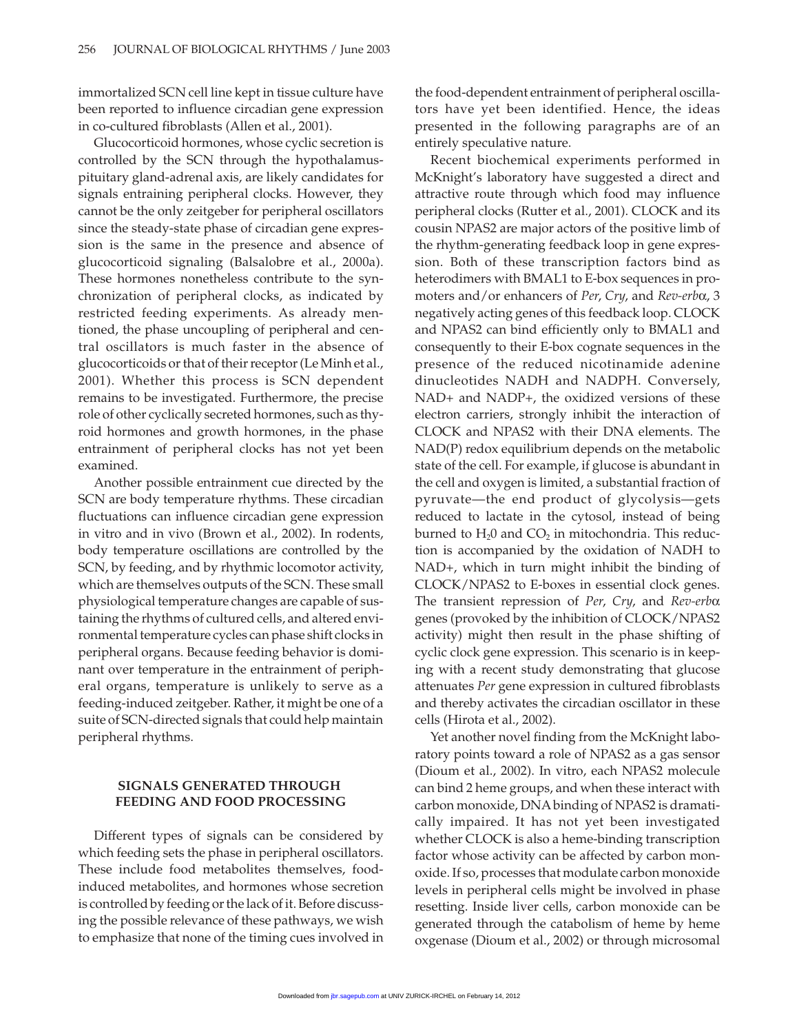immortalized SCN cell line kept in tissue culture have been reported to influence circadian gene expression in co-cultured fibroblasts (Allen et al., 2001).

Glucocorticoid hormones, whose cyclic secretion is controlled by the SCN through the hypothalamuspituitary gland-adrenal axis, are likely candidates for signals entraining peripheral clocks. However, they cannot be the only zeitgeber for peripheral oscillators since the steady-state phase of circadian gene expression is the same in the presence and absence of glucocorticoid signaling (Balsalobre et al., 2000a). These hormones nonetheless contribute to the synchronization of peripheral clocks, as indicated by restricted feeding experiments. As already mentioned, the phase uncoupling of peripheral and central oscillators is much faster in the absence of glucocorticoids or that of their receptor (Le Minh et al., 2001). Whether this process is SCN dependent remains to be investigated. Furthermore, the precise role of other cyclically secreted hormones, such as thyroid hormones and growth hormones, in the phase entrainment of peripheral clocks has not yet been examined.

Another possible entrainment cue directed by the SCN are body temperature rhythms. These circadian fluctuations can influence circadian gene expression in vitro and in vivo (Brown et al., 2002). In rodents, body temperature oscillations are controlled by the SCN, by feeding, and by rhythmic locomotor activity, which are themselves outputs of the SCN. These small physiological temperature changes are capable of sustaining the rhythms of cultured cells, and altered environmental temperature cycles can phase shift clocks in peripheral organs. Because feeding behavior is dominant over temperature in the entrainment of peripheral organs, temperature is unlikely to serve as a feeding-induced zeitgeber. Rather, it might be one of a suite of SCN-directed signals that could help maintain peripheral rhythms.

## **SIGNALS GENERATED THROUGH FEEDING AND FOOD PROCESSING**

Different types of signals can be considered by which feeding sets the phase in peripheral oscillators. These include food metabolites themselves, foodinduced metabolites, and hormones whose secretion is controlled by feeding or the lack of it. Before discussing the possible relevance of these pathways, we wish to emphasize that none of the timing cues involved in

the food-dependent entrainment of peripheral oscillators have yet been identified. Hence, the ideas presented in the following paragraphs are of an entirely speculative nature.

Recent biochemical experiments performed in McKnight's laboratory have suggested a direct and attractive route through which food may influence peripheral clocks (Rutter et al., 2001). CLOCK and its cousin NPAS2 are major actors of the positive limb of the rhythm-generating feedback loop in gene expression. Both of these transcription factors bind as heterodimers with BMAL1 to E-box sequences in promoters and/or enhancers of *Per*, *Cry*, and *Rev-erb*α, 3 negatively acting genes of this feedback loop. CLOCK and NPAS2 can bind efficiently only to BMAL1 and consequently to their E-box cognate sequences in the presence of the reduced nicotinamide adenine dinucleotides NADH and NADPH. Conversely, NAD+ and NADP+, the oxidized versions of these electron carriers, strongly inhibit the interaction of CLOCK and NPAS2 with their DNA elements. The NAD(P) redox equilibrium depends on the metabolic state of the cell. For example, if glucose is abundant in the cell and oxygen is limited, a substantial fraction of pyruvate—the end product of glycolysis—gets reduced to lactate in the cytosol, instead of being burned to  $H_2$ 0 and CO<sub>2</sub> in mitochondria. This reduction is accompanied by the oxidation of NADH to NAD+, which in turn might inhibit the binding of CLOCK/NPAS2 to E-boxes in essential clock genes. The transient repression of *Per*, *Cry*, and *Rev-erb*α genes (provoked by the inhibition of CLOCK/NPAS2 activity) might then result in the phase shifting of cyclic clock gene expression. This scenario is in keeping with a recent study demonstrating that glucose attenuates *Per* gene expression in cultured fibroblasts and thereby activates the circadian oscillator in these cells (Hirota et al., 2002).

Yet another novel finding from the McKnight laboratory points toward a role of NPAS2 as a gas sensor (Dioum et al., 2002). In vitro, each NPAS2 molecule can bind 2 heme groups, and when these interact with carbon monoxide, DNA binding of NPAS2 is dramatically impaired. It has not yet been investigated whether CLOCK is also a heme-binding transcription factor whose activity can be affected by carbon monoxide. If so, processes that modulate carbon monoxide levels in peripheral cells might be involved in phase resetting. Inside liver cells, carbon monoxide can be generated through the catabolism of heme by heme oxgenase (Dioum et al., 2002) or through microsomal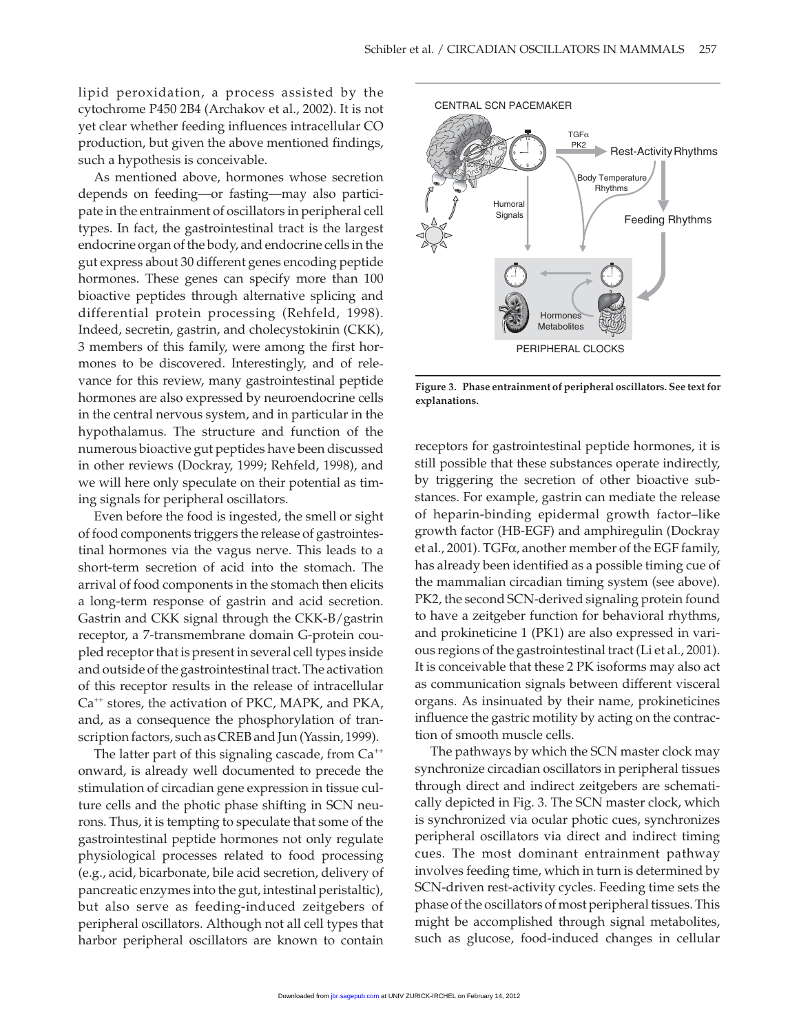lipid peroxidation, a process assisted by the cytochrome P450 2B4 (Archakov et al., 2002). It is not yet clear whether feeding influences intracellular CO production, but given the above mentioned findings, such a hypothesis is conceivable.

As mentioned above, hormones whose secretion depends on feeding—or fasting—may also participate in the entrainment of oscillators in peripheral cell types. In fact, the gastrointestinal tract is the largest endocrine organ of the body, and endocrine cells in the gut express about 30 different genes encoding peptide hormones. These genes can specify more than 100 bioactive peptides through alternative splicing and differential protein processing (Rehfeld, 1998). Indeed, secretin, gastrin, and cholecystokinin (CKK), 3 members of this family, were among the first hormones to be discovered. Interestingly, and of relevance for this review, many gastrointestinal peptide hormones are also expressed by neuroendocrine cells in the central nervous system, and in particular in the hypothalamus. The structure and function of the numerous bioactive gut peptides have been discussed in other reviews (Dockray, 1999; Rehfeld, 1998), and we will here only speculate on their potential as timing signals for peripheral oscillators.

Even before the food is ingested, the smell or sight of food components triggers the release of gastrointestinal hormones via the vagus nerve. This leads to a short-term secretion of acid into the stomach. The arrival of food components in the stomach then elicits a long-term response of gastrin and acid secretion. Gastrin and CKK signal through the CKK-B/gastrin receptor, a 7-transmembrane domain G-protein coupled receptor that is present in several cell types inside and outside of the gastrointestinal tract. The activation of this receptor results in the release of intracellular  $Ca^{++}$  stores, the activation of PKC, MAPK, and PKA, and, as a consequence the phosphorylation of transcription factors, such as CREB and Jun (Yassin, 1999).

The latter part of this signaling cascade, from  $Ca^{++}$ onward, is already well documented to precede the stimulation of circadian gene expression in tissue culture cells and the photic phase shifting in SCN neurons. Thus, it is tempting to speculate that some of the gastrointestinal peptide hormones not only regulate physiological processes related to food processing (e.g., acid, bicarbonate, bile acid secretion, delivery of pancreatic enzymes into the gut, intestinal peristaltic), but also serve as feeding-induced zeitgebers of peripheral oscillators. Although not all cell types that harbor peripheral oscillators are known to contain



**Figure 3. Phase entrainment of peripheral oscillators. See text for explanations.**

receptors for gastrointestinal peptide hormones, it is still possible that these substances operate indirectly, by triggering the secretion of other bioactive substances. For example, gastrin can mediate the release of heparin-binding epidermal growth factor–like growth factor (HB-EGF) and amphiregulin (Dockray et al., 2001). TGFα, another member of the EGF family, has already been identified as a possible timing cue of the mammalian circadian timing system (see above). PK2, the second SCN-derived signaling protein found to have a zeitgeber function for behavioral rhythms, and prokineticine 1 (PK1) are also expressed in various regions of the gastrointestinal tract (Li et al., 2001). It is conceivable that these 2 PK isoforms may also act as communication signals between different visceral organs. As insinuated by their name, prokineticines influence the gastric motility by acting on the contraction of smooth muscle cells.

The pathways by which the SCN master clock may synchronize circadian oscillators in peripheral tissues through direct and indirect zeitgebers are schematically depicted in Fig. 3. The SCN master clock, which is synchronized via ocular photic cues, synchronizes peripheral oscillators via direct and indirect timing cues. The most dominant entrainment pathway involves feeding time, which in turn is determined by SCN-driven rest-activity cycles. Feeding time sets the phase of the oscillators of most peripheral tissues. This might be accomplished through signal metabolites, such as glucose, food-induced changes in cellular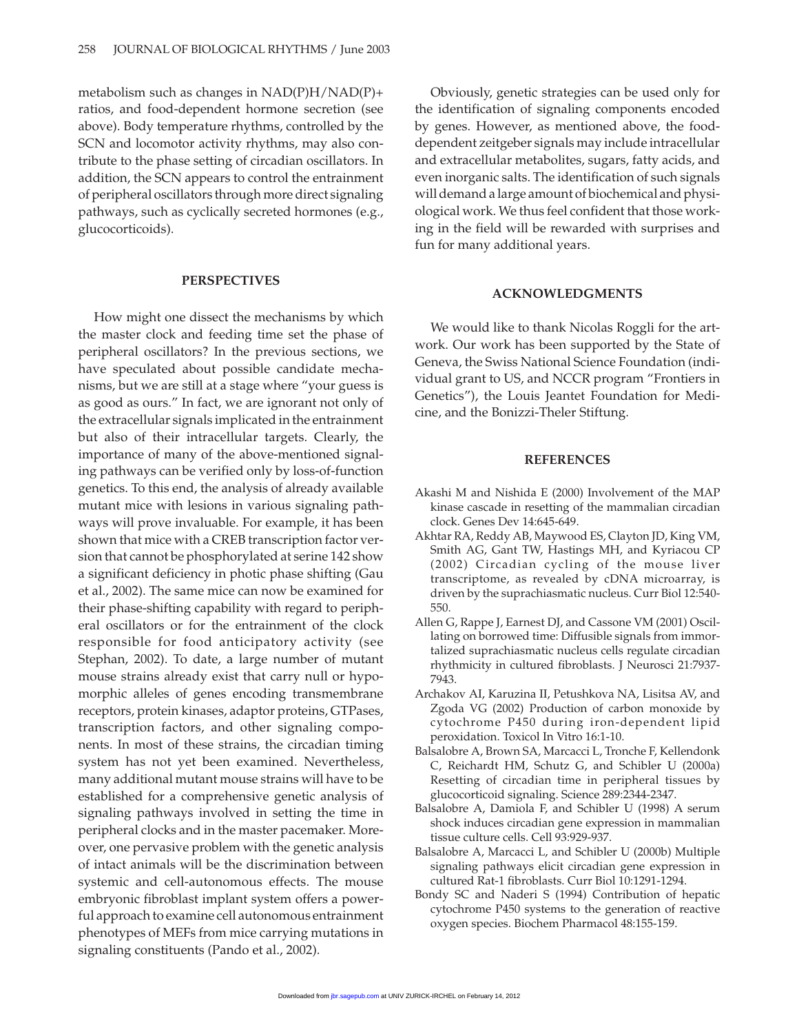metabolism such as changes in NAD(P)H/NAD(P)+ ratios, and food-dependent hormone secretion (see above). Body temperature rhythms, controlled by the SCN and locomotor activity rhythms, may also contribute to the phase setting of circadian oscillators. In addition, the SCN appears to control the entrainment of peripheral oscillators through more direct signaling pathways, such as cyclically secreted hormones (e.g., glucocorticoids).

#### **PERSPECTIVES**

How might one dissect the mechanisms by which the master clock and feeding time set the phase of peripheral oscillators? In the previous sections, we have speculated about possible candidate mechanisms, but we are still at a stage where "your guess is as good as ours." In fact, we are ignorant not only of the extracellular signals implicated in the entrainment but also of their intracellular targets. Clearly, the importance of many of the above-mentioned signaling pathways can be verified only by loss-of-function genetics. To this end, the analysis of already available mutant mice with lesions in various signaling pathways will prove invaluable. For example, it has been shown that mice with a CREB transcription factor version that cannot be phosphorylated at serine 142 show a significant deficiency in photic phase shifting (Gau et al., 2002). The same mice can now be examined for their phase-shifting capability with regard to peripheral oscillators or for the entrainment of the clock responsible for food anticipatory activity (see Stephan, 2002). To date, a large number of mutant mouse strains already exist that carry null or hypomorphic alleles of genes encoding transmembrane receptors, protein kinases, adaptor proteins, GTPases, transcription factors, and other signaling components. In most of these strains, the circadian timing system has not yet been examined. Nevertheless, many additional mutant mouse strains will have to be established for a comprehensive genetic analysis of signaling pathways involved in setting the time in peripheral clocks and in the master pacemaker. Moreover, one pervasive problem with the genetic analysis of intact animals will be the discrimination between systemic and cell-autonomous effects. The mouse embryonic fibroblast implant system offers a powerful approach to examine cell autonomous entrainment phenotypes of MEFs from mice carrying mutations in signaling constituents (Pando et al., 2002).

Obviously, genetic strategies can be used only for the identification of signaling components encoded by genes. However, as mentioned above, the fooddependent zeitgeber signals may include intracellular and extracellular metabolites, sugars, fatty acids, and even inorganic salts. The identification of such signals will demand a large amount of biochemical and physiological work. We thus feel confident that those working in the field will be rewarded with surprises and fun for many additional years.

#### **ACKNOWLEDGMENTS**

We would like to thank Nicolas Roggli for the artwork. Our work has been supported by the State of Geneva, the Swiss National Science Foundation (individual grant to US, and NCCR program "Frontiers in Genetics"), the Louis Jeantet Foundation for Medicine, and the Bonizzi-Theler Stiftung.

#### **REFERENCES**

- Akashi M and Nishida E (2000) Involvement of the MAP kinase cascade in resetting of the mammalian circadian clock. Genes Dev 14:645-649.
- Akhtar RA, Reddy AB, Maywood ES, Clayton JD, King VM, Smith AG, Gant TW, Hastings MH, and Kyriacou CP (2002) Circadian cycling of the mouse liver transcriptome, as revealed by cDNA microarray, is driven by the suprachiasmatic nucleus. Curr Biol 12:540- 550.
- Allen G, Rappe J, Earnest DJ, and Cassone VM (2001) Oscillating on borrowed time: Diffusible signals from immortalized suprachiasmatic nucleus cells regulate circadian rhythmicity in cultured fibroblasts. J Neurosci 21:7937- 7943.
- Archakov AI, Karuzina II, Petushkova NA, Lisitsa AV, and Zgoda VG (2002) Production of carbon monoxide by cytochrome P450 during iron-dependent lipid peroxidation. Toxicol In Vitro 16:1-10.
- Balsalobre A, Brown SA, Marcacci L, Tronche F, Kellendonk C, Reichardt HM, Schutz G, and Schibler U (2000a) Resetting of circadian time in peripheral tissues by glucocorticoid signaling. Science 289:2344-2347.
- Balsalobre A, Damiola F, and Schibler U (1998) A serum shock induces circadian gene expression in mammalian tissue culture cells. Cell 93:929-937.
- Balsalobre A, Marcacci L, and Schibler U (2000b) Multiple signaling pathways elicit circadian gene expression in cultured Rat-1 fibroblasts. Curr Biol 10:1291-1294.
- Bondy SC and Naderi S (1994) Contribution of hepatic cytochrome P450 systems to the generation of reactive oxygen species. Biochem Pharmacol 48:155-159.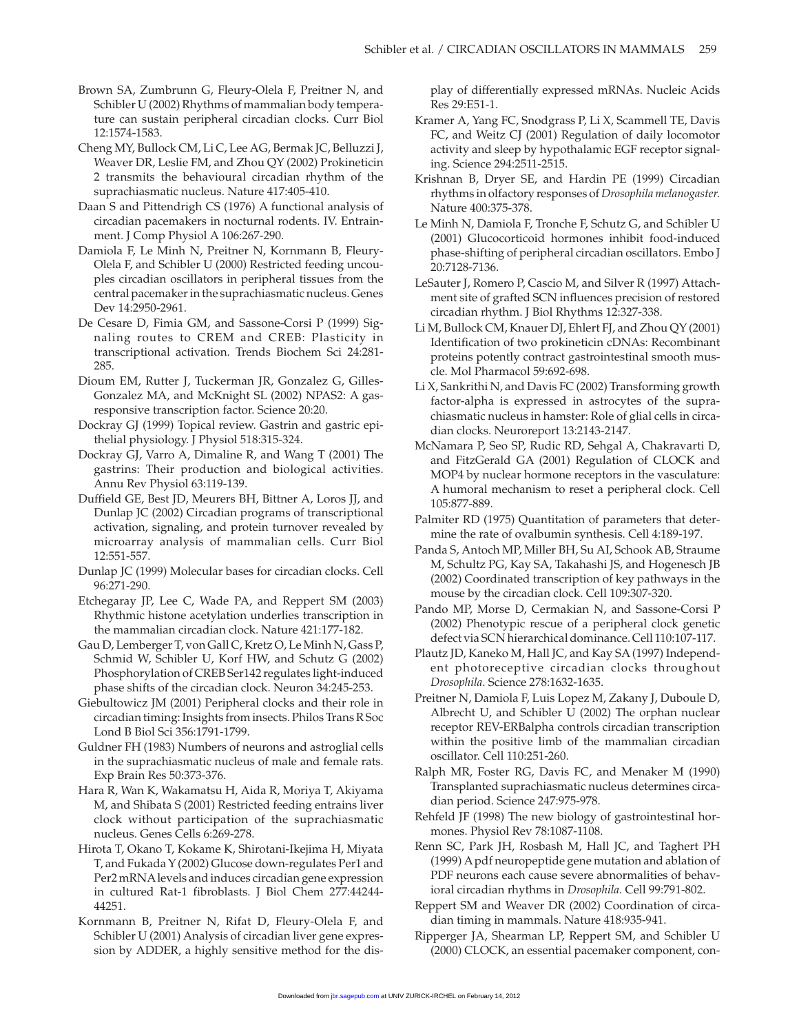- Brown SA, Zumbrunn G, Fleury-Olela F, Preitner N, and Schibler U (2002) Rhythms of mammalian body temperature can sustain peripheral circadian clocks. Curr Biol 12:1574-1583.
- Cheng MY, Bullock CM, Li C, Lee AG, Bermak JC, Belluzzi J, Weaver DR, Leslie FM, and Zhou QY (2002) Prokineticin 2 transmits the behavioural circadian rhythm of the suprachiasmatic nucleus. Nature 417:405-410.
- Daan S and Pittendrigh CS (1976) A functional analysis of circadian pacemakers in nocturnal rodents. IV. Entrainment. J Comp Physiol A 106:267-290.
- Damiola F, Le Minh N, Preitner N, Kornmann B, Fleury-Olela F, and Schibler U (2000) Restricted feeding uncouples circadian oscillators in peripheral tissues from the central pacemaker in the suprachiasmatic nucleus. Genes Dev 14:2950-2961.
- De Cesare D, Fimia GM, and Sassone-Corsi P (1999) Signaling routes to CREM and CREB: Plasticity in transcriptional activation. Trends Biochem Sci 24:281- 285.
- Dioum EM, Rutter J, Tuckerman JR, Gonzalez G, Gilles-Gonzalez MA, and McKnight SL (2002) NPAS2: A gasresponsive transcription factor. Science 20:20.
- Dockray GJ (1999) Topical review. Gastrin and gastric epithelial physiology. J Physiol 518:315-324.
- Dockray GJ, Varro A, Dimaline R, and Wang T (2001) The gastrins: Their production and biological activities. Annu Rev Physiol 63:119-139.
- Duffield GE, Best JD, Meurers BH, Bittner A, Loros JJ, and Dunlap JC (2002) Circadian programs of transcriptional activation, signaling, and protein turnover revealed by microarray analysis of mammalian cells. Curr Biol 12:551-557.
- Dunlap JC (1999) Molecular bases for circadian clocks. Cell 96:271-290.
- Etchegaray JP, Lee C, Wade PA, and Reppert SM (2003) Rhythmic histone acetylation underlies transcription in the mammalian circadian clock. Nature 421:177-182.
- Gau D, Lemberger T, von Gall C, Kretz O, Le Minh N, Gass P, Schmid W, Schibler U, Korf HW, and Schutz G (2002) Phosphorylation of CREB Ser142 regulates light-induced phase shifts of the circadian clock. Neuron 34:245-253.
- Giebultowicz JM (2001) Peripheral clocks and their role in circadian timing: Insights from insects. Philos Trans R Soc Lond B Biol Sci 356:1791-1799.
- Guldner FH (1983) Numbers of neurons and astroglial cells in the suprachiasmatic nucleus of male and female rats. Exp Brain Res 50:373-376.
- Hara R, Wan K, Wakamatsu H, Aida R, Moriya T, Akiyama M, and Shibata S (2001) Restricted feeding entrains liver clock without participation of the suprachiasmatic nucleus. Genes Cells 6:269-278.
- Hirota T, Okano T, Kokame K, Shirotani-Ikejima H, Miyata T, and Fukada Y (2002) Glucose down-regulates Per1 and Per2 mRNAlevels and induces circadian gene expression in cultured Rat-1 fibroblasts. J Biol Chem 277:44244- 44251.
- Kornmann B, Preitner N, Rifat D, Fleury-Olela F, and Schibler U (2001) Analysis of circadian liver gene expression by ADDER, a highly sensitive method for the dis-

play of differentially expressed mRNAs. Nucleic Acids Res 29:E51-1.

- Kramer A, Yang FC, Snodgrass P, Li X, Scammell TE, Davis FC, and Weitz CJ (2001) Regulation of daily locomotor activity and sleep by hypothalamic EGF receptor signaling. Science 294:2511-2515.
- Krishnan B, Dryer SE, and Hardin PE (1999) Circadian rhythms in olfactory responses of *Drosophila melanogaster*. Nature 400:375-378.
- Le Minh N, Damiola F, Tronche F, Schutz G, and Schibler U (2001) Glucocorticoid hormones inhibit food-induced phase-shifting of peripheral circadian oscillators. Embo J 20:7128-7136.
- LeSauter J, Romero P, Cascio M, and Silver R (1997) Attachment site of grafted SCN influences precision of restored circadian rhythm. J Biol Rhythms 12:327-338.
- Li M, Bullock CM, Knauer DJ, Ehlert FJ, and Zhou QY (2001) Identification of two prokineticin cDNAs: Recombinant proteins potently contract gastrointestinal smooth muscle. Mol Pharmacol 59:692-698.
- Li X, Sankrithi N, and Davis FC (2002) Transforming growth factor-alpha is expressed in astrocytes of the suprachiasmatic nucleus in hamster: Role of glial cells in circadian clocks. Neuroreport 13:2143-2147.
- McNamara P, Seo SP, Rudic RD, Sehgal A, Chakravarti D, and FitzGerald GA (2001) Regulation of CLOCK and MOP4 by nuclear hormone receptors in the vasculature: A humoral mechanism to reset a peripheral clock. Cell 105:877-889.
- Palmiter RD (1975) Quantitation of parameters that determine the rate of ovalbumin synthesis. Cell 4:189-197.
- Panda S, Antoch MP, Miller BH, Su AI, Schook AB, Straume M, Schultz PG, Kay SA, Takahashi JS, and Hogenesch JB (2002) Coordinated transcription of key pathways in the mouse by the circadian clock. Cell 109:307-320.
- Pando MP, Morse D, Cermakian N, and Sassone-Corsi P (2002) Phenotypic rescue of a peripheral clock genetic defect via SCN hierarchical dominance. Cell 110:107-117.
- Plautz JD, Kaneko M, Hall JC, and Kay SA (1997) Independent photoreceptive circadian clocks throughout *Drosophila*. Science 278:1632-1635.
- Preitner N, Damiola F, Luis Lopez M, Zakany J, Duboule D, Albrecht U, and Schibler U (2002) The orphan nuclear receptor REV-ERBalpha controls circadian transcription within the positive limb of the mammalian circadian oscillator. Cell 110:251-260.
- Ralph MR, Foster RG, Davis FC, and Menaker M (1990) Transplanted suprachiasmatic nucleus determines circadian period. Science 247:975-978.
- Rehfeld JF (1998) The new biology of gastrointestinal hormones. Physiol Rev 78:1087-1108.
- Renn SC, Park JH, Rosbash M, Hall JC, and Taghert PH (1999) A pdf neuropeptide gene mutation and ablation of PDF neurons each cause severe abnormalities of behavioral circadian rhythms in *Drosophila*. Cell 99:791-802.
- Reppert SM and Weaver DR (2002) Coordination of circadian timing in mammals. Nature 418:935-941.
- Ripperger JA, Shearman LP, Reppert SM, and Schibler U (2000) CLOCK, an essential pacemaker component, con-